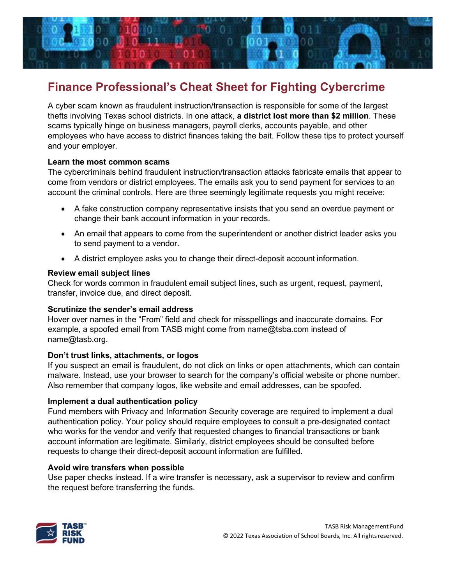

# **Finance Professional's Cheat Sheet for Fighting Cybercrime**

A cyber scam known as fraudulent instruction/transaction is responsible for some of the largest thefts involving Texas school districts. In one attack, **a district lost more than \$2 million**. These scams typically hinge on business managers, payroll clerks, accounts payable, and other employees who have access to district finances taking the bait. Follow these tips to protect yourself and your employer.

# **Learn the most common scams**

The cybercriminals behind fraudulent instruction/transaction attacks fabricate emails that appear to come from vendors or district employees. The emails ask you to send payment for services to an account the criminal controls. Here are three seemingly legitimate requests you might receive:

- A fake construction company representative insists that you send an overdue payment or change their bank account information in your records.
- An email that appears to come from the superintendent or another district leader asks you to send payment to a vendor.
- A district employee asks you to change their direct-deposit account information.

# **Review email subject lines**

Check for words common in fraudulent email subject lines, such as urgent, request, payment, transfer, invoice due, and direct deposit.

## **Scrutinize the sender's email address**

Hover over names in the "From" field and check for misspellings and inaccurate domains. For example, a spoofed email from TASB might come from [name@tsba.com in](mailto:name@tsba.com)stead of [name@tasb.org.](mailto:name@tasb.org)

## **Don't trust links, attachments, or logos**

If you suspect an email is fraudulent, do not click on links or open attachments, which can contain malware. Instead, use your browser to search for the company's official website or phone number. Also remember that company logos, like website and email addresses, can be spoofed.

## **Implement a dual authentication policy**

Fund members with Privacy and Information Security coverage are required to implement a dual authentication policy. Your policy should require employees to consult a pre-designated contact who works for the vendor and verify that requested changes to financial transactions or bank account information are legitimate. Similarly, district employees should be consulted before requests to change their direct-deposit account information are fulfilled.

## **Avoid wire transfers when possible**

Use paper checks instead. If a wire transfer is necessary, ask a supervisor to review and confirm the request before transferring the funds.